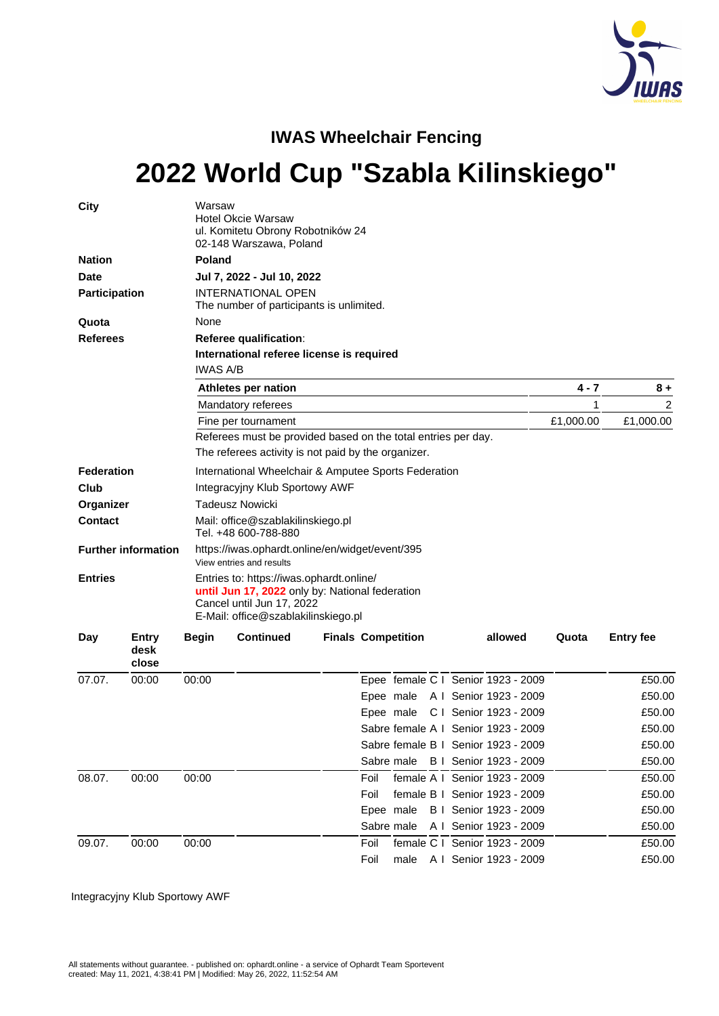

## **IWAS Wheelchair Fencing**

# **2022 World Cup "Szabla Kilinskiego"**

| City              |                            | Warsaw          | <b>Hotel Okcie Warsaw</b><br>ul. Komitetu Obrony Robotników 24<br>02-148 Warszawa, Poland                                                                       |                           |            |  |  |                                     |       |                  |  |  |  |
|-------------------|----------------------------|-----------------|-----------------------------------------------------------------------------------------------------------------------------------------------------------------|---------------------------|------------|--|--|-------------------------------------|-------|------------------|--|--|--|
| <b>Nation</b>     |                            |                 | <b>Poland</b>                                                                                                                                                   |                           |            |  |  |                                     |       |                  |  |  |  |
| Date              |                            |                 | Jul 7, 2022 - Jul 10, 2022                                                                                                                                      |                           |            |  |  |                                     |       |                  |  |  |  |
| Participation     |                            |                 | <b>INTERNATIONAL OPEN</b><br>The number of participants is unlimited.                                                                                           |                           |            |  |  |                                     |       |                  |  |  |  |
| Quota             |                            | None            |                                                                                                                                                                 |                           |            |  |  |                                     |       |                  |  |  |  |
| <b>Referees</b>   |                            |                 | Referee qualification:                                                                                                                                          |                           |            |  |  |                                     |       |                  |  |  |  |
|                   |                            | <b>IWAS A/B</b> | International referee license is required                                                                                                                       |                           |            |  |  |                                     |       |                  |  |  |  |
|                   |                            |                 | Athletes per nation                                                                                                                                             | 4 - 7                     | $8+$       |  |  |                                     |       |                  |  |  |  |
|                   |                            |                 | Mandatory referees                                                                                                                                              |                           |            |  |  |                                     | 1     | 2                |  |  |  |
|                   |                            |                 | Fine per tournament                                                                                                                                             | £1,000.00                 | £1,000.00  |  |  |                                     |       |                  |  |  |  |
|                   |                            |                 | Referees must be provided based on the total entries per day.                                                                                                   |                           |            |  |  |                                     |       |                  |  |  |  |
|                   |                            |                 | The referees activity is not paid by the organizer.                                                                                                             |                           |            |  |  |                                     |       |                  |  |  |  |
| <b>Federation</b> |                            |                 | International Wheelchair & Amputee Sports Federation                                                                                                            |                           |            |  |  |                                     |       |                  |  |  |  |
| Club              |                            |                 | Integracyjny Klub Sportowy AWF                                                                                                                                  |                           |            |  |  |                                     |       |                  |  |  |  |
| Organizer         |                            |                 | Tadeusz Nowicki                                                                                                                                                 |                           |            |  |  |                                     |       |                  |  |  |  |
| <b>Contact</b>    |                            |                 | Mail: office@szablakilinskiego.pl<br>Tel. +48 600-788-880                                                                                                       |                           |            |  |  |                                     |       |                  |  |  |  |
|                   | <b>Further information</b> |                 | https://iwas.ophardt.online/en/widget/event/395<br>View entries and results                                                                                     |                           |            |  |  |                                     |       |                  |  |  |  |
| <b>Entries</b>    |                            |                 | Entries to: https://iwas.ophardt.online/<br>until Jun 17, 2022 only by: National federation<br>Cancel until Jun 17, 2022<br>E-Mail: office@szablakilinskiego.pl |                           |            |  |  |                                     |       |                  |  |  |  |
| Day               | Entry<br>desk<br>close     | <b>Begin</b>    | <b>Continued</b>                                                                                                                                                | <b>Finals Competition</b> |            |  |  | allowed                             | Quota | <b>Entry fee</b> |  |  |  |
| 07.07.            | 00:00                      | 00:00           |                                                                                                                                                                 |                           |            |  |  | Epee female C I Senior 1923 - 2009  |       | £50.00           |  |  |  |
|                   |                            |                 |                                                                                                                                                                 |                           |            |  |  | Epee male A I Senior 1923 - 2009    |       | £50.00           |  |  |  |
|                   |                            |                 |                                                                                                                                                                 |                           |            |  |  | Epee male C I Senior 1923 - 2009    |       | £50.00           |  |  |  |
|                   |                            |                 |                                                                                                                                                                 |                           |            |  |  | Sabre female A   Senior 1923 - 2009 |       | £50.00           |  |  |  |
|                   |                            |                 |                                                                                                                                                                 |                           |            |  |  | Sabre female B   Senior 1923 - 2009 |       | £50.00           |  |  |  |
|                   |                            |                 |                                                                                                                                                                 |                           |            |  |  | Sabre male B I Senior 1923 - 2009   |       | £50.00           |  |  |  |
| 08.07.            | 00:00                      | 00:00           |                                                                                                                                                                 |                           | Foil       |  |  | female A I Senior 1923 - 2009       |       | £50.00           |  |  |  |
|                   |                            |                 |                                                                                                                                                                 |                           | Foil       |  |  | female B   Senior 1923 - 2009       |       | £50.00           |  |  |  |
|                   |                            |                 |                                                                                                                                                                 |                           |            |  |  | Epee male B I Senior 1923 - 2009    |       | £50.00           |  |  |  |
|                   |                            |                 |                                                                                                                                                                 |                           | Sabre male |  |  | A I Senior 1923 - 2009              |       | £50.00           |  |  |  |
| 09.07.            | 00:00                      | 00:00           |                                                                                                                                                                 |                           | Foil       |  |  | female C I Senior 1923 - 2009       |       | £50.00           |  |  |  |
|                   |                            |                 |                                                                                                                                                                 |                           | Foil       |  |  | male A I Senior 1923 - 2009         |       | £50.00           |  |  |  |

Integracyjny Klub Sportowy AWF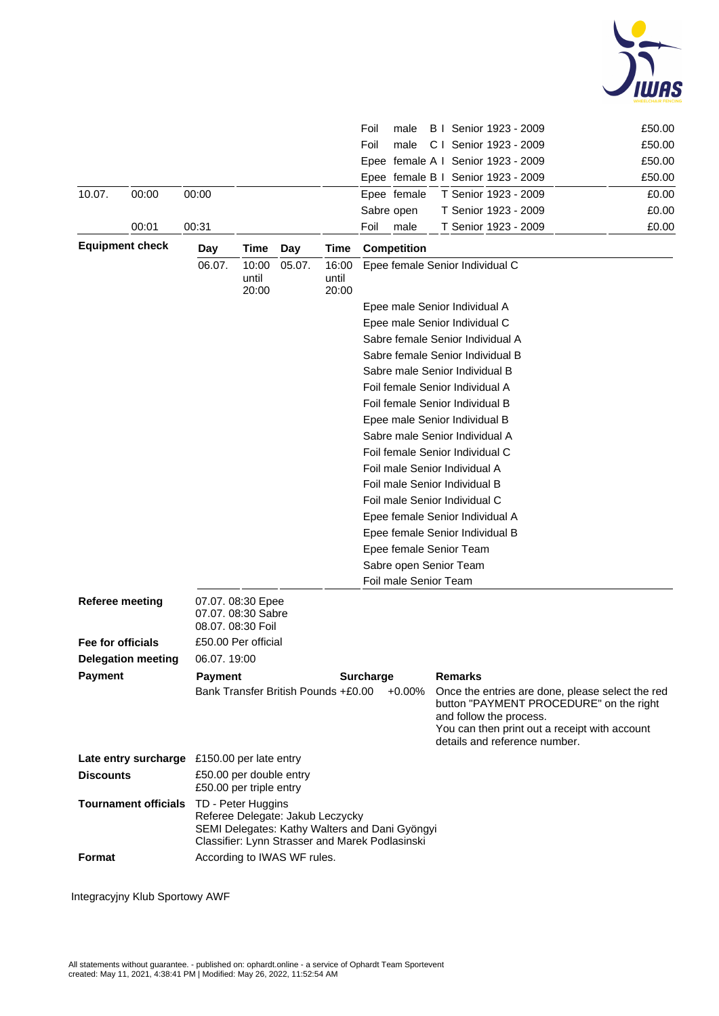

|                        |                                          |                                                    |                                                                                                                                                             |                                     |                | Foil<br>male                       | B   Senior 1923 - 2009                                   |                                                                                                                                              | £50.00 |  |  |
|------------------------|------------------------------------------|----------------------------------------------------|-------------------------------------------------------------------------------------------------------------------------------------------------------------|-------------------------------------|----------------|------------------------------------|----------------------------------------------------------|----------------------------------------------------------------------------------------------------------------------------------------------|--------|--|--|
|                        |                                          |                                                    |                                                                                                                                                             |                                     |                | Foil<br>male                       | C I Senior 1923 - 2009                                   |                                                                                                                                              | £50.00 |  |  |
|                        |                                          |                                                    |                                                                                                                                                             |                                     |                |                                    | Epee female A I Senior 1923 - 2009                       |                                                                                                                                              | £50.00 |  |  |
|                        |                                          |                                                    |                                                                                                                                                             |                                     |                |                                    | Epee female B I Senior 1923 - 2009                       |                                                                                                                                              | £50.00 |  |  |
| 10.07.                 | 00:00                                    | 00:00                                              |                                                                                                                                                             |                                     |                | Epee female                        | T Senior 1923 - 2009                                     |                                                                                                                                              | £0.00  |  |  |
|                        |                                          |                                                    |                                                                                                                                                             |                                     |                | Sabre open                         | T Senior 1923 - 2009                                     |                                                                                                                                              | £0.00  |  |  |
|                        | 00:01                                    | 00:31                                              |                                                                                                                                                             |                                     |                | Foil<br>male                       | T Senior 1923 - 2009                                     |                                                                                                                                              | £0.00  |  |  |
|                        | <b>Equipment check</b>                   | Day                                                | Time                                                                                                                                                        | Day                                 | Time           | <b>Competition</b>                 |                                                          |                                                                                                                                              |        |  |  |
|                        |                                          | 06.07.                                             | 10:00                                                                                                                                                       | 05.07.                              | 16:00          |                                    | Epee female Senior Individual C                          |                                                                                                                                              |        |  |  |
|                        |                                          |                                                    | until<br>20:00                                                                                                                                              |                                     | until<br>20:00 |                                    |                                                          |                                                                                                                                              |        |  |  |
|                        |                                          |                                                    |                                                                                                                                                             |                                     |                |                                    | Epee male Senior Individual A                            |                                                                                                                                              |        |  |  |
|                        |                                          |                                                    |                                                                                                                                                             |                                     |                | Epee male Senior Individual C      |                                                          |                                                                                                                                              |        |  |  |
|                        |                                          |                                                    |                                                                                                                                                             |                                     |                |                                    | Sabre female Senior Individual A                         |                                                                                                                                              |        |  |  |
|                        |                                          |                                                    |                                                                                                                                                             |                                     |                |                                    | Sabre female Senior Individual B                         |                                                                                                                                              |        |  |  |
|                        |                                          |                                                    |                                                                                                                                                             |                                     |                |                                    | Sabre male Senior Individual B                           |                                                                                                                                              |        |  |  |
|                        |                                          |                                                    |                                                                                                                                                             |                                     |                |                                    | Foil female Senior Individual A                          |                                                                                                                                              |        |  |  |
|                        |                                          |                                                    | Foil female Senior Individual B                                                                                                                             |                                     |                |                                    |                                                          |                                                                                                                                              |        |  |  |
|                        |                                          |                                                    |                                                                                                                                                             |                                     |                |                                    | Epee male Senior Individual B                            |                                                                                                                                              |        |  |  |
|                        |                                          |                                                    | Sabre male Senior Individual A<br>Foil female Senior Individual C                                                                                           |                                     |                |                                    |                                                          |                                                                                                                                              |        |  |  |
|                        |                                          |                                                    |                                                                                                                                                             |                                     |                |                                    |                                                          |                                                                                                                                              |        |  |  |
|                        |                                          |                                                    | Foil male Senior Individual A<br>Foil male Senior Individual B<br>Foil male Senior Individual C<br>Epee female Senior Individual A                          |                                     |                |                                    |                                                          |                                                                                                                                              |        |  |  |
|                        |                                          |                                                    |                                                                                                                                                             |                                     |                |                                    |                                                          |                                                                                                                                              |        |  |  |
|                        |                                          |                                                    |                                                                                                                                                             |                                     |                |                                    |                                                          |                                                                                                                                              |        |  |  |
|                        |                                          |                                                    |                                                                                                                                                             |                                     |                |                                    |                                                          |                                                                                                                                              |        |  |  |
|                        |                                          |                                                    | Epee female Senior Individual B<br>Epee female Senior Team                                                                                                  |                                     |                |                                    |                                                          |                                                                                                                                              |        |  |  |
|                        |                                          | Sabre open Senior Team                             |                                                                                                                                                             |                                     |                |                                    |                                                          |                                                                                                                                              |        |  |  |
|                        |                                          |                                                    |                                                                                                                                                             |                                     |                | Foil male Senior Team              |                                                          |                                                                                                                                              |        |  |  |
|                        |                                          | 07.07.08:30 Epee                                   |                                                                                                                                                             |                                     |                |                                    |                                                          |                                                                                                                                              |        |  |  |
| <b>Referee meeting</b> |                                          | 07.07.08:30 Sabre                                  |                                                                                                                                                             |                                     |                |                                    |                                                          |                                                                                                                                              |        |  |  |
|                        |                                          | 08.07. 08:30 Foil                                  |                                                                                                                                                             |                                     |                |                                    |                                                          |                                                                                                                                              |        |  |  |
| Fee for officials      |                                          | £50.00 Per official                                |                                                                                                                                                             |                                     |                |                                    |                                                          |                                                                                                                                              |        |  |  |
|                        | 06.07.19:00<br><b>Delegation meeting</b> |                                                    |                                                                                                                                                             |                                     |                |                                    |                                                          |                                                                                                                                              |        |  |  |
| <b>Payment</b>         |                                          | <b>Payment</b>                                     |                                                                                                                                                             |                                     |                | <b>Surcharge</b><br><b>Remarks</b> |                                                          |                                                                                                                                              |        |  |  |
|                        |                                          |                                                    |                                                                                                                                                             | Bank Transfer British Pounds +£0.00 |                | $+0.00\%$                          | and follow the process.<br>details and reference number. | Once the entries are done, please select the red<br>button "PAYMENT PROCEDURE" on the right<br>You can then print out a receipt with account |        |  |  |
|                        | Late entry surcharge                     | £150.00 per late entry                             |                                                                                                                                                             |                                     |                |                                    |                                                          |                                                                                                                                              |        |  |  |
| <b>Discounts</b>       |                                          | £50.00 per double entry<br>£50.00 per triple entry |                                                                                                                                                             |                                     |                |                                    |                                                          |                                                                                                                                              |        |  |  |
|                        | <b>Tournament officials</b>              |                                                    | TD - Peter Huggins<br>Referee Delegate: Jakub Leczycky<br>SEMI Delegates: Kathy Walters and Dani Gyöngyi<br>Classifier: Lynn Strasser and Marek Podlasinski |                                     |                |                                    |                                                          |                                                                                                                                              |        |  |  |
| Format                 |                                          |                                                    |                                                                                                                                                             | According to IWAS WF rules.         |                |                                    |                                                          |                                                                                                                                              |        |  |  |

Integracyjny Klub Sportowy AWF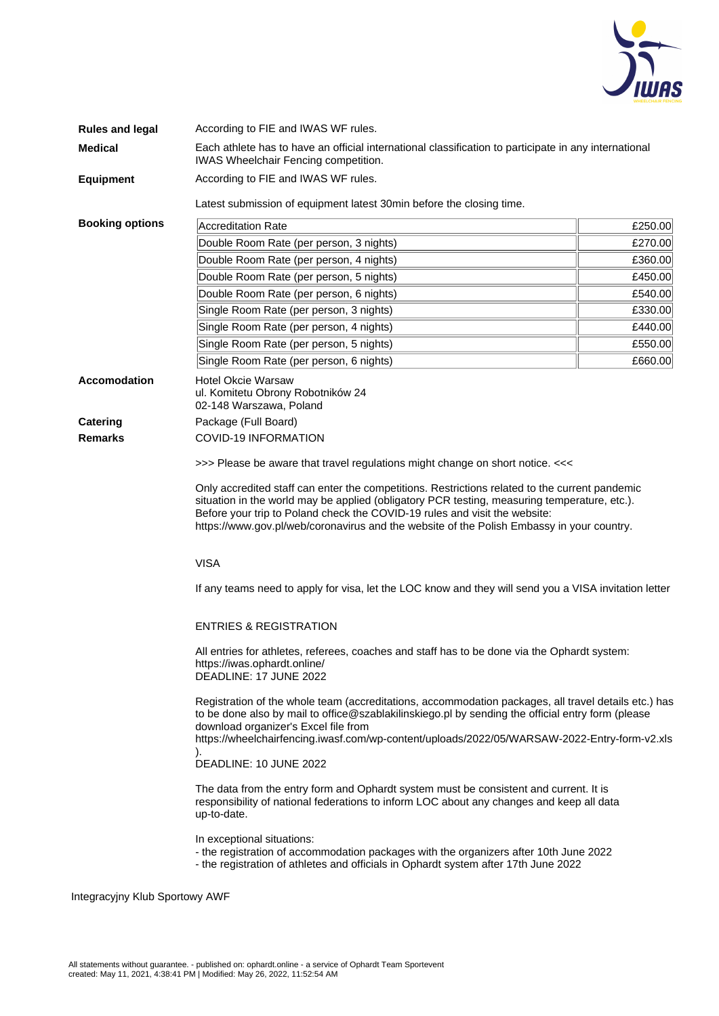

| <b>Rules and legal</b>         | According to FIE and IWAS WF rules.                                                                                                                                                                                                                                                                                                                                                                                                                                                                                                              |         |  |  |  |  |  |  |
|--------------------------------|--------------------------------------------------------------------------------------------------------------------------------------------------------------------------------------------------------------------------------------------------------------------------------------------------------------------------------------------------------------------------------------------------------------------------------------------------------------------------------------------------------------------------------------------------|---------|--|--|--|--|--|--|
| <b>Medical</b>                 | Each athlete has to have an official international classification to participate in any international<br>IWAS Wheelchair Fencing competition.                                                                                                                                                                                                                                                                                                                                                                                                    |         |  |  |  |  |  |  |
| <b>Equipment</b>               | According to FIE and IWAS WF rules.                                                                                                                                                                                                                                                                                                                                                                                                                                                                                                              |         |  |  |  |  |  |  |
|                                | Latest submission of equipment latest 30min before the closing time.                                                                                                                                                                                                                                                                                                                                                                                                                                                                             |         |  |  |  |  |  |  |
| <b>Booking options</b>         | <b>Accreditation Rate</b>                                                                                                                                                                                                                                                                                                                                                                                                                                                                                                                        | £250.00 |  |  |  |  |  |  |
|                                | Double Room Rate (per person, 3 nights)                                                                                                                                                                                                                                                                                                                                                                                                                                                                                                          | £270.00 |  |  |  |  |  |  |
|                                | Double Room Rate (per person, 4 nights)                                                                                                                                                                                                                                                                                                                                                                                                                                                                                                          | £360.00 |  |  |  |  |  |  |
|                                | Double Room Rate (per person, 5 nights)                                                                                                                                                                                                                                                                                                                                                                                                                                                                                                          | £450.00 |  |  |  |  |  |  |
|                                | Double Room Rate (per person, 6 nights)                                                                                                                                                                                                                                                                                                                                                                                                                                                                                                          | £540.00 |  |  |  |  |  |  |
|                                | Single Room Rate (per person, 3 nights)                                                                                                                                                                                                                                                                                                                                                                                                                                                                                                          | £330.00 |  |  |  |  |  |  |
|                                | Single Room Rate (per person, 4 nights)                                                                                                                                                                                                                                                                                                                                                                                                                                                                                                          | £440.00 |  |  |  |  |  |  |
|                                | Single Room Rate (per person, 5 nights)                                                                                                                                                                                                                                                                                                                                                                                                                                                                                                          | £550.00 |  |  |  |  |  |  |
|                                | Single Room Rate (per person, 6 nights)                                                                                                                                                                                                                                                                                                                                                                                                                                                                                                          | £660.00 |  |  |  |  |  |  |
| <b>Accomodation</b>            | <b>Hotel Okcie Warsaw</b><br>ul. Komitetu Obrony Robotników 24<br>02-148 Warszawa, Poland                                                                                                                                                                                                                                                                                                                                                                                                                                                        |         |  |  |  |  |  |  |
| <b>Catering</b>                | Package (Full Board)                                                                                                                                                                                                                                                                                                                                                                                                                                                                                                                             |         |  |  |  |  |  |  |
| <b>Remarks</b>                 | <b>COVID-19 INFORMATION</b>                                                                                                                                                                                                                                                                                                                                                                                                                                                                                                                      |         |  |  |  |  |  |  |
|                                | >>> Please be aware that travel regulations might change on short notice. <<<                                                                                                                                                                                                                                                                                                                                                                                                                                                                    |         |  |  |  |  |  |  |
|                                | Only accredited staff can enter the competitions. Restrictions related to the current pandemic<br>situation in the world may be applied (obligatory PCR testing, measuring temperature, etc.).<br>Before your trip to Poland check the COVID-19 rules and visit the website:<br>https://www.gov.pl/web/coronavirus and the website of the Polish Embassy in your country.                                                                                                                                                                        |         |  |  |  |  |  |  |
|                                | <b>VISA</b>                                                                                                                                                                                                                                                                                                                                                                                                                                                                                                                                      |         |  |  |  |  |  |  |
|                                | If any teams need to apply for visa, let the LOC know and they will send you a VISA invitation letter                                                                                                                                                                                                                                                                                                                                                                                                                                            |         |  |  |  |  |  |  |
|                                | <b>ENTRIES &amp; REGISTRATION</b><br>All entries for athletes, referees, coaches and staff has to be done via the Ophardt system:<br>https://iwas.ophardt.online/<br>DEADLINE: 17 JUNE 2022<br>Registration of the whole team (accreditations, accommodation packages, all travel details etc.) has<br>to be done also by mail to office@szablakilinskiego.pl by sending the official entry form (please<br>download organizer's Excel file from<br>https://wheelchairfencing.iwasf.com/wp-content/uploads/2022/05/WARSAW-2022-Entry-form-v2.xls |         |  |  |  |  |  |  |
|                                |                                                                                                                                                                                                                                                                                                                                                                                                                                                                                                                                                  |         |  |  |  |  |  |  |
|                                |                                                                                                                                                                                                                                                                                                                                                                                                                                                                                                                                                  |         |  |  |  |  |  |  |
|                                | DEADLINE: 10 JUNE 2022                                                                                                                                                                                                                                                                                                                                                                                                                                                                                                                           |         |  |  |  |  |  |  |
|                                | The data from the entry form and Ophardt system must be consistent and current. It is<br>responsibility of national federations to inform LOC about any changes and keep all data<br>up-to-date.                                                                                                                                                                                                                                                                                                                                                 |         |  |  |  |  |  |  |
|                                | In exceptional situations:<br>- the registration of accommodation packages with the organizers after 10th June 2022<br>- the registration of athletes and officials in Ophardt system after 17th June 2022                                                                                                                                                                                                                                                                                                                                       |         |  |  |  |  |  |  |
| Integracyjny Klub Sportowy AWF |                                                                                                                                                                                                                                                                                                                                                                                                                                                                                                                                                  |         |  |  |  |  |  |  |